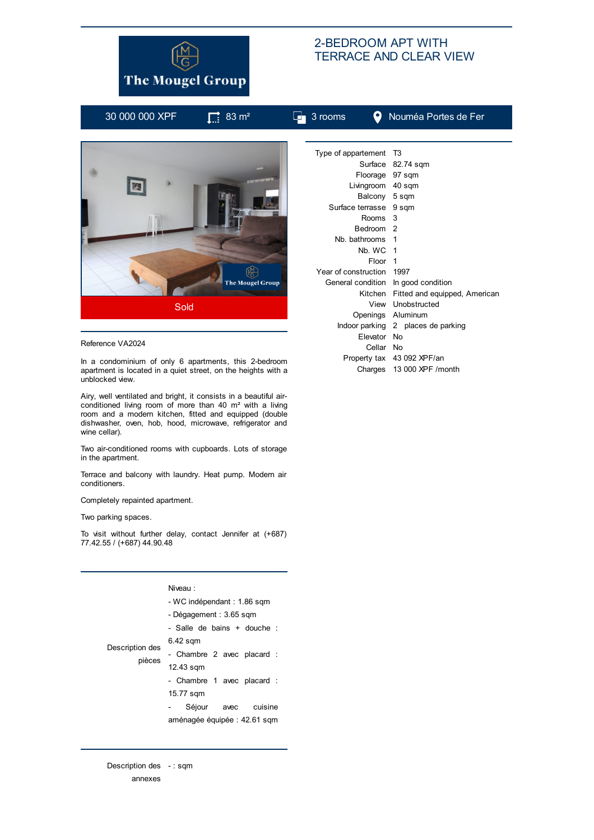

## 2-BEDROOM APT WITH TERRACE AND CLEAR VIEW

|  | 30 000 000 XPF | $\prod$ 83 m <sup>2</sup> | $\Box$ 3 rooms            |                    | Nouméa Portes de Fer                      |
|--|----------------|---------------------------|---------------------------|--------------------|-------------------------------------------|
|  |                |                           |                           |                    |                                           |
|  |                |                           | Type of appartement T3    |                    |                                           |
|  |                |                           |                           |                    | Surface 82.74 sqm                         |
|  |                |                           |                           |                    | Floorage 97 sqm                           |
|  |                |                           |                           |                    | Livingroom 40 sqm                         |
|  |                |                           |                           |                    | Balcony 5 sqm                             |
|  |                | Surface terrasse 9 sqm    |                           |                    |                                           |
|  |                |                           |                           | Rooms 3            |                                           |
|  |                |                           | Bedroom <sub>2</sub>      |                    |                                           |
|  |                |                           | Nb. bathrooms 1           |                    |                                           |
|  |                |                           |                           | Nb. WC 1           |                                           |
|  |                |                           |                           | Floor <sub>1</sub> |                                           |
|  |                |                           | Year of construction 1997 |                    |                                           |
|  |                | <b>The Mougel Group</b>   |                           |                    | General condition In good condition       |
|  |                |                           |                           |                    | Kitchen Fitted and equipped, Amer         |
|  | Sold           |                           |                           |                    | View Unobstructed                         |
|  |                |                           |                           |                    | $\sim$ $\sim$ $\sim$ $\sim$ $\sim$ $\sim$ |

## Reference VA2024

In a condominium of only 6 apartments, this 2-bedroom apartment is located in a quiet street, on the heights with a unblocked view.

Airy, well ventilated and bright, it consists in a beautiful airconditioned living room of more than 40 m² with a living room and a modern kitchen, fitted and equipped (double dishwasher, oven, hob, hood, microwave, refrigerator and wine cellar).

Two air-conditioned rooms with cupboards. Lots of storage in the apartment.

Terrace and balcony with laundry. Heat pump. Modern air conditioners.

Completely repainted apartment.

Two parking spaces.

To visit without further delay, contact Jennifer at (+687) 77.42.55 / (+687) 44.90.48

## Niveau :

|                 | - WC indépendant : 1.86 sqm  |  |  |  |  |
|-----------------|------------------------------|--|--|--|--|
|                 | - Dégagement : 3.65 sqm      |  |  |  |  |
|                 | - Salle de bains + douche :  |  |  |  |  |
|                 | 6.42 sqm                     |  |  |  |  |
| Description des | - Chambre 2 avec placard :   |  |  |  |  |
| pièces          | 12.43 sqm                    |  |  |  |  |
|                 | - Chambre 1 avec placard :   |  |  |  |  |
|                 | 15.77 sqm                    |  |  |  |  |
|                 | cuisine<br>Séjour<br>avec    |  |  |  |  |
|                 | aménagée éguipée : 42.61 sgm |  |  |  |  |

Description des - : sqm

annexes

| Type of appartement                 | - T3                               |  |  |  |  |
|-------------------------------------|------------------------------------|--|--|--|--|
|                                     | Surface 82.74 sqm                  |  |  |  |  |
| Floorage 97 sqm                     |                                    |  |  |  |  |
| Livingroom 40 sqm                   |                                    |  |  |  |  |
| Balcony 5 sqm                       |                                    |  |  |  |  |
| Surface terrasse 9 sqm              |                                    |  |  |  |  |
| Rooms 3                             |                                    |  |  |  |  |
| Bedroom <sub>2</sub>                |                                    |  |  |  |  |
| Nb. bathrooms                       | 1                                  |  |  |  |  |
| Nh. WC 1                            |                                    |  |  |  |  |
| Floor                               | 1                                  |  |  |  |  |
| Year of construction 1997           |                                    |  |  |  |  |
| General condition In good condition |                                    |  |  |  |  |
| Kitchen                             | Fitted and equipped, American      |  |  |  |  |
|                                     | View Unobstructed                  |  |  |  |  |
|                                     | Openings Aluminum                  |  |  |  |  |
|                                     | Indoor parking 2 places de parking |  |  |  |  |
| Elevator No                         |                                    |  |  |  |  |
| Cellar No                           |                                    |  |  |  |  |
|                                     | Property tax 43 092 XPF/an         |  |  |  |  |
|                                     | Charges 13 000 XPF / month         |  |  |  |  |
|                                     |                                    |  |  |  |  |